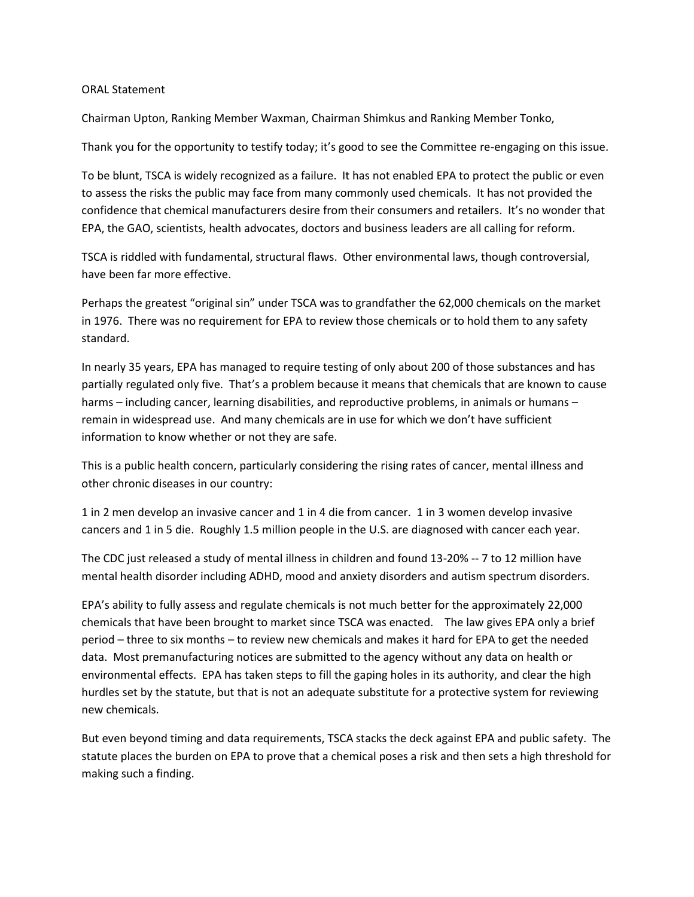## ORAL Statement

Chairman Upton, Ranking Member Waxman, Chairman Shimkus and Ranking Member Tonko,

Thank you for the opportunity to testify today; it's good to see the Committee re-engaging on this issue.

To be blunt, TSCA is widely recognized as a failure. It has not enabled EPA to protect the public or even to assess the risks the public may face from many commonly used chemicals. It has not provided the confidence that chemical manufacturers desire from their consumers and retailers. It's no wonder that EPA, the GAO, scientists, health advocates, doctors and business leaders are all calling for reform.

TSCA is riddled with fundamental, structural flaws. Other environmental laws, though controversial, have been far more effective.

Perhaps the greatest "original sin" under TSCA was to grandfather the 62,000 chemicals on the market in 1976. There was no requirement for EPA to review those chemicals or to hold them to any safety standard.

In nearly 35 years, EPA has managed to require testing of only about 200 of those substances and has partially regulated only five. That's a problem because it means that chemicals that are known to cause harms – including cancer, learning disabilities, and reproductive problems, in animals or humans – remain in widespread use. And many chemicals are in use for which we don't have sufficient information to know whether or not they are safe.

This is a public health concern, particularly considering the rising rates of cancer, mental illness and other chronic diseases in our country:

1 in 2 men develop an invasive cancer and 1 in 4 die from cancer. 1 in 3 women develop invasive cancers and 1 in 5 die. Roughly 1.5 million people in the U.S. are diagnosed with cancer each year.

The CDC just released a study of mental illness in children and found 13-20% -- 7 to 12 million have mental health disorder including ADHD, mood and anxiety disorders and autism spectrum disorders.

EPA's ability to fully assess and regulate chemicals is not much better for the approximately 22,000 chemicals that have been brought to market since TSCA was enacted. The law gives EPA only a brief period – three to six months – to review new chemicals and makes it hard for EPA to get the needed data. Most premanufacturing notices are submitted to the agency without any data on health or environmental effects. EPA has taken steps to fill the gaping holes in its authority, and clear the high hurdles set by the statute, but that is not an adequate substitute for a protective system for reviewing new chemicals.

But even beyond timing and data requirements, TSCA stacks the deck against EPA and public safety. The statute places the burden on EPA to prove that a chemical poses a risk and then sets a high threshold for making such a finding.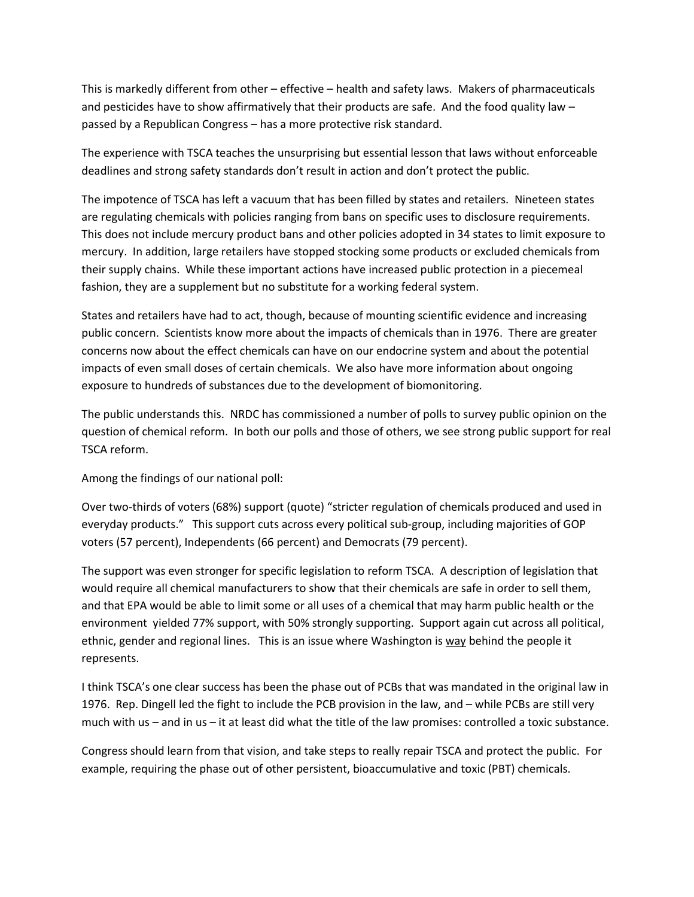This is markedly different from other – effective – health and safety laws. Makers of pharmaceuticals and pesticides have to show affirmatively that their products are safe. And the food quality law – passed by a Republican Congress – has a more protective risk standard.

The experience with TSCA teaches the unsurprising but essential lesson that laws without enforceable deadlines and strong safety standards don't result in action and don't protect the public.

The impotence of TSCA has left a vacuum that has been filled by states and retailers. Nineteen states are regulating chemicals with policies ranging from bans on specific uses to disclosure requirements. This does not include mercury product bans and other policies adopted in 34 states to limit exposure to mercury. In addition, large retailers have stopped stocking some products or excluded chemicals from their supply chains. While these important actions have increased public protection in a piecemeal fashion, they are a supplement but no substitute for a working federal system.

States and retailers have had to act, though, because of mounting scientific evidence and increasing public concern. Scientists know more about the impacts of chemicals than in 1976. There are greater concerns now about the effect chemicals can have on our endocrine system and about the potential impacts of even small doses of certain chemicals. We also have more information about ongoing exposure to hundreds of substances due to the development of biomonitoring.

The public understands this. NRDC has commissioned a number of polls to survey public opinion on the question of chemical reform. In both our polls and those of others, we see strong public support for real TSCA reform.

Among the findings of our national poll:

Over two-thirds of voters (68%) support (quote) "stricter regulation of chemicals produced and used in everyday products." This support cuts across every political sub-group, including majorities of GOP voters (57 percent), Independents (66 percent) and Democrats (79 percent).

The support was even stronger for specific legislation to reform TSCA. A description of legislation that would require all chemical manufacturers to show that their chemicals are safe in order to sell them, and that EPA would be able to limit some or all uses of a chemical that may harm public health or the environment yielded 77% support, with 50% strongly supporting. Support again cut across all political, ethnic, gender and regional lines. This is an issue where Washington is way behind the people it represents.

I think TSCA's one clear success has been the phase out of PCBs that was mandated in the original law in 1976. Rep. Dingell led the fight to include the PCB provision in the law, and – while PCBs are still very much with us – and in us – it at least did what the title of the law promises: controlled a toxic substance.

Congress should learn from that vision, and take steps to really repair TSCA and protect the public. For example, requiring the phase out of other persistent, bioaccumulative and toxic (PBT) chemicals.